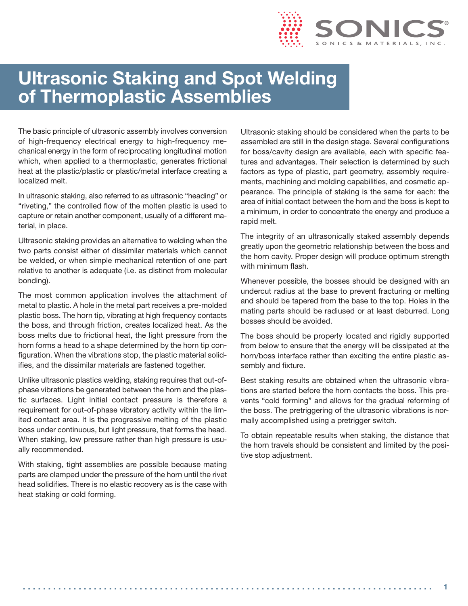

# **Ultrasonic Staking and Spot Welding of Thermoplastic Assemblies**

The basic principle of ultrasonic assembly involves conversion of high-frequency electrical energy to high-frequency mechanical energy in the form of reciprocating longitudinal motion which, when applied to a thermoplastic, generates frictional heat at the plastic/plastic or plastic/metal interface creating a localized melt.

In ultrasonic staking, also referred to as ultrasonic "heading" or "riveting," the controlled flow of the molten plastic is used to capture or retain another component, usually of a different material, in place.

Ultrasonic staking provides an alternative to welding when the two parts consist either of dissimilar materials which cannot be welded, or when simple mechanical retention of one part relative to another is adequate (i.e. as distinct from molecular bonding).

The most common application involves the attachment of metal to plastic. A hole in the metal part receives a pre-molded plastic boss. The horn tip, vibrating at high frequency contacts the boss, and through friction, creates localized heat. As the boss melts due to frictional heat, the light pressure from the horn forms a head to a shape determined by the horn tip configuration. When the vibrations stop, the plastic material solidifies, and the dissimilar materials are fastened together.

Unlike ultrasonic plastics welding, staking requires that out-ofphase vibrations be generated between the horn and the plastic surfaces. Light initial contact pressure is therefore a requirement for out-of-phase vibratory activity within the limited contact area. It is the progressive melting of the plastic boss under continuous, but light pressure, that forms the head. When staking, low pressure rather than high pressure is usually recommended.

With staking, tight assemblies are possible because mating parts are clamped under the pressure of the horn until the rivet head solidifies. There is no elastic recovery as is the case with heat staking or cold forming.

Ultrasonic staking should be considered when the parts to be assembled are still in the design stage. Several configurations for boss/cavity design are available, each with specific features and advantages. Their selection is determined by such factors as type of plastic, part geometry, assembly requirements, machining and molding capabilities, and cosmetic appearance. The principle of staking is the same for each: the area of initial contact between the horn and the boss is kept to a minimum, in order to concentrate the energy and produce a rapid melt.

The integrity of an ultrasonically staked assembly depends greatly upon the geometric relationship between the boss and the horn cavity. Proper design will produce optimum strength with minimum flash.

Whenever possible, the bosses should be designed with an undercut radius at the base to prevent fracturing or melting and should be tapered from the base to the top. Holes in the mating parts should be radiused or at least deburred. Long bosses should be avoided.

The boss should be properly located and rigidly supported from below to ensure that the energy will be dissipated at the horn/boss interface rather than exciting the entire plastic assembly and fixture.

Best staking results are obtained when the ultrasonic vibrations are started before the horn contacts the boss. This prevents "cold forming" and allows for the gradual reforming of the boss. The pretriggering of the ultrasonic vibrations is normally accomplished using a pretrigger switch.

To obtain repeatable results when staking, the distance that the horn travels should be consistent and limited by the positive stop adjustment.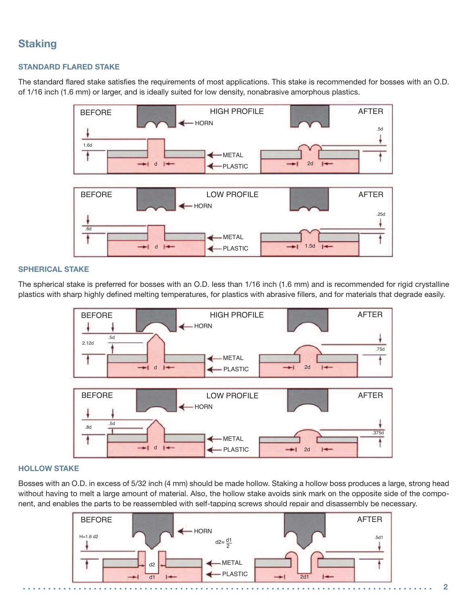# **Staking**

#### **STANDARD FLARED STAKE**

The standard flared stake satisfies the requirements of most applications. This stake is recommended for bosses with an O.D. of 1/16 inch (1.6 mm) or larger, and is ideally suited for low density, nonabrasive amorphous plastics.



#### **SPHERICAL STAKE**

The spherical stake is preferred for bosses with an O.D. less than 1/16 inch (1.6 mm) and is recommended for rigid crystalline plastics with sharp highly defined melting temperatures, for plastics with abrasive fillers, and for materials that degrade easily.



#### **HOLLOW STAKE**

Bosses with an O.D. in excess of 5/32 inch (4 mm) should be made hollow. Staking a hollow boss produces a large, strong head without having to melt a large amount of material. Also, the hollow stake avoids sink mark on the opposite side of the component, and enables the parts to be reassembled with self-tapping screws should repair and disassembly be necessary.

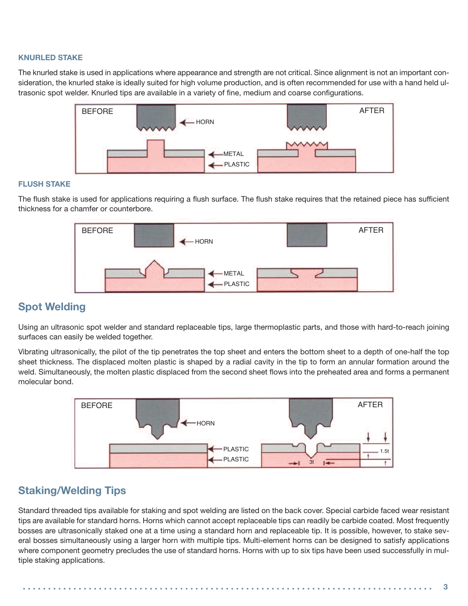#### **KNURLED STAKE**

The knurled stake is used in applications where appearance and strength are not critical. Since alignment is not an important consideration, the knurled stake is ideally suited for high volume production, and is often recommended for use with a hand held ultrasonic spot welder. Knurled tips are available in a variety of fine, medium and coarse configurations.



#### **FLUSH STAKE**

The flush stake is used for applications requiring a flush surface. The flush stake requires that the retained piece has sufficient thickness for a chamfer or counterbore.



### **Spot Welding**

Using an ultrasonic spot welder and standard replaceable tips, large thermoplastic parts, and those with hard-to-reach joining surfaces can easily be welded together.

Vibrating ultrasonically, the pilot of the tip penetrates the top sheet and enters the bottom sheet to a depth of one-half the top sheet thickness. The displaced molten plastic is shaped by a radial cavity in the tip to form an annular formation around the weld. Simultaneously, the molten plastic displaced from the second sheet flows into the preheated area and forms a permanent molecular bond.



### **Staking/Welding Tips**

Standard threaded tips available for staking and spot welding are listed on the back cover. Special carbide faced wear resistant tips are available for standard horns. Horns which cannot accept replaceable tips can readily be carbide coated. Most frequently bosses are ultrasonically staked one at a time using a standard horn and replaceable tip. It is possible, however, to stake several bosses simultaneously using a larger horn with multiple tips. Multi-element horns can be designed to satisfy applications where component geometry precludes the use of standard horns. Horns with up to six tips have been used successfully in multiple staking applications.